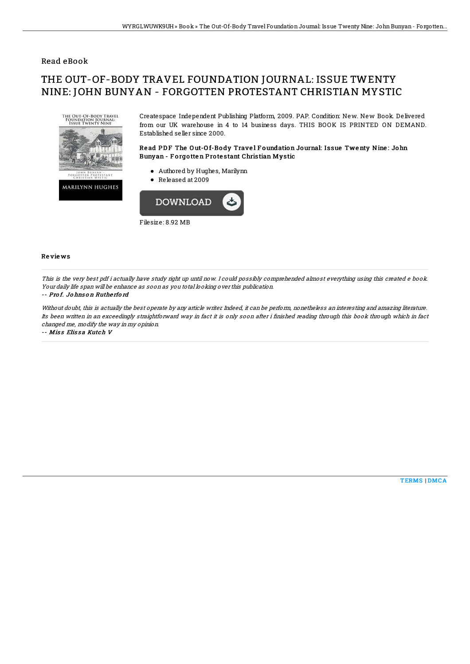## Read eBook

# THE OUT-OF-BODY TRAVEL FOUNDATION JOURNAL: ISSUE TWENTY NINE: JOHN BUNYAN - FORGOTTEN PROTESTANT CHRISTIAN MYSTIC



Createspace Independent Publishing Platform, 2009. PAP. Condition: New. New Book. Delivered from our UK warehouse in 4 to 14 business days. THIS BOOK IS PRINTED ON DEMAND. Established seller since 2000.

### Read PDF The Out-Of-Body Travel Foundation Journal: Issue Twenty Nine: John Bunyan - Forgotten Protestant Christian Mystic

- Authored by Hughes, Marilynn
- Released at 2009



#### Re vie ws

This is the very best pdf i actually have study right up until now. I could possibly comprehended almost everything using this created <sup>e</sup> book. Your daily life span will be enhance as soon as you total looking over this publication.

#### -- Pro f. Jo hns o <sup>n</sup> Ruthe rfo rd

Without doubt, this is actually the best operate by any article writer. Indeed, it can be perform, nonetheless an interesting and amazing literature. Its been written in an exceedingly straightforward way in fact it is only soon after i finished reading through this book through which in fact changed me, modify the way in my opinion.

-- Miss Elissa Kutch V